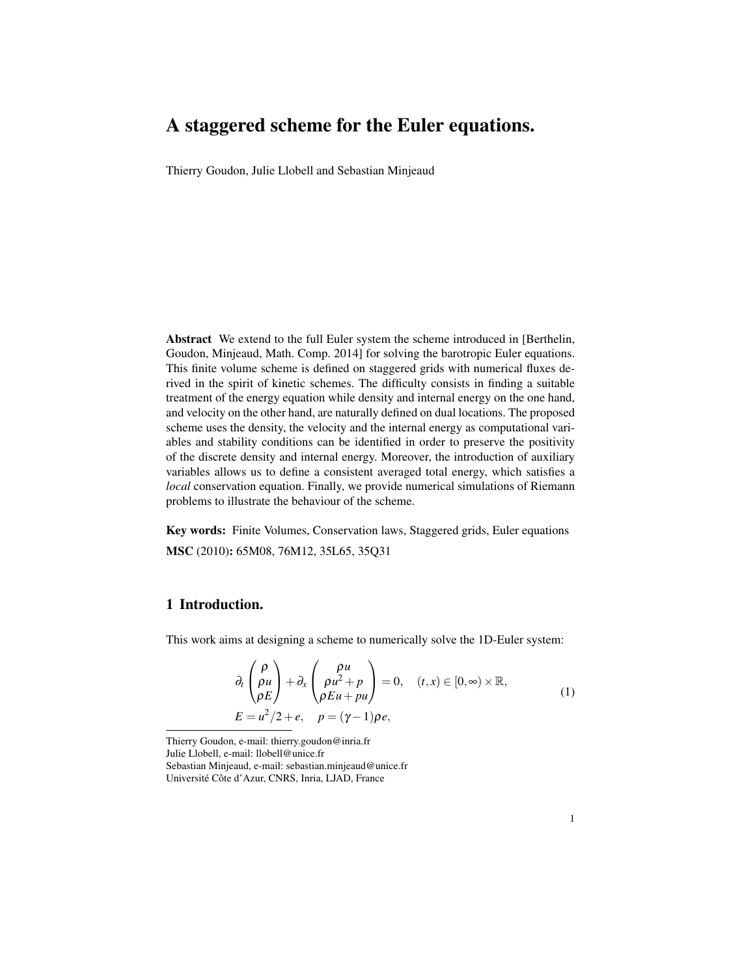# A staggered scheme for the Euler equations.

Thierry Goudon, Julie Llobell and Sebastian Minjeaud

Abstract We extend to the full Euler system the scheme introduced in [Berthelin, Goudon, Minjeaud, Math. Comp. 2014] for solving the barotropic Euler equations. This finite volume scheme is defined on staggered grids with numerical fluxes derived in the spirit of kinetic schemes. The difficulty consists in finding a suitable treatment of the energy equation while density and internal energy on the one hand, and velocity on the other hand, are naturally defined on dual locations. The proposed scheme uses the density, the velocity and the internal energy as computational variables and stability conditions can be identified in order to preserve the positivity of the discrete density and internal energy. Moreover, the introduction of auxiliary variables allows us to define a consistent averaged total energy, which satisfies a *local* conservation equation. Finally, we provide numerical simulations of Riemann problems to illustrate the behaviour of the scheme.

Key words: Finite Volumes, Conservation laws, Staggered grids, Euler equations MSC (2010): 65M08, 76M12, 35L65, 35Q31

## 1 Introduction.

This work aims at designing a scheme to numerically solve the 1D-Euler system:

$$
\partial_t \begin{pmatrix} \rho \\ \rho u \\ \rho E \end{pmatrix} + \partial_x \begin{pmatrix} \rho u \\ \rho u^2 + p \\ \rho E u + p u \end{pmatrix} = 0, \quad (t, x) \in [0, \infty) \times \mathbb{R},
$$
\n
$$
E = u^2/2 + e, \quad p = (\gamma - 1)\rho e,
$$
\n(1)

Thierry Goudon, e-mail: thierry.goudon@inria.fr

Julie Llobell, e-mail: llobell@unice.fr

Sebastian Minjeaud, e-mail: sebastian.minjeaud@unice.fr Université Côte d'Azur, CNRS, Inria, LJAD, France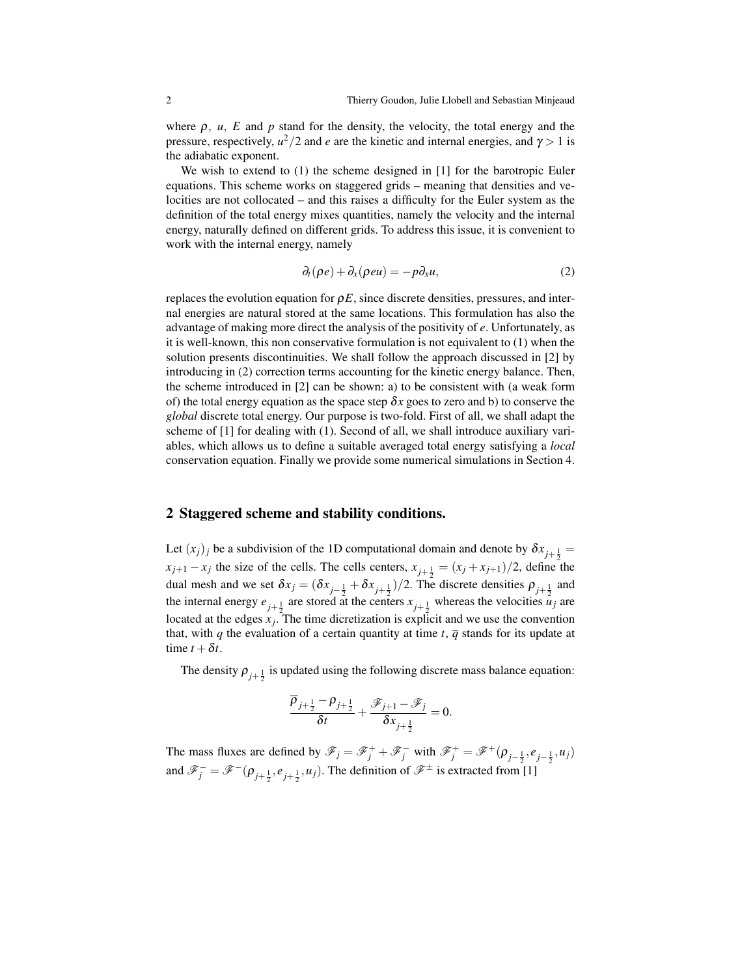where  $\rho$ ,  $u$ ,  $E$  and  $p$  stand for the density, the velocity, the total energy and the pressure, respectively,  $u^2/2$  and *e* are the kinetic and internal energies, and  $\gamma > 1$  is the adiabatic exponent.

We wish to extend to (1) the scheme designed in [1] for the barotropic Euler equations. This scheme works on staggered grids – meaning that densities and velocities are not collocated – and this raises a difficulty for the Euler system as the definition of the total energy mixes quantities, namely the velocity and the internal energy, naturally defined on different grids. To address this issue, it is convenient to work with the internal energy, namely

$$
\partial_t(\rho e) + \partial_x(\rho e u) = -p \partial_x u,\tag{2}
$$

replaces the evolution equation for  $\rho E$ , since discrete densities, pressures, and internal energies are natural stored at the same locations. This formulation has also the advantage of making more direct the analysis of the positivity of *e*. Unfortunately, as it is well-known, this non conservative formulation is not equivalent to (1) when the solution presents discontinuities. We shall follow the approach discussed in [2] by introducing in (2) correction terms accounting for the kinetic energy balance. Then, the scheme introduced in [2] can be shown: a) to be consistent with (a weak form of) the total energy equation as the space step  $\delta x$  goes to zero and b) to conserve the *global* discrete total energy. Our purpose is two-fold. First of all, we shall adapt the scheme of [1] for dealing with (1). Second of all, we shall introduce auxiliary variables, which allows us to define a suitable averaged total energy satisfying a *local* conservation equation. Finally we provide some numerical simulations in Section 4.

#### 2 Staggered scheme and stability conditions.

Let  $(x_j)_j$  be a subdivision of the 1D computational domain and denote by  $\delta x_{j+\frac{1}{2}} =$  $x_{j+1} - x_j$  the size of the cells. The cells centers,  $x_{j+\frac{1}{2}} = (x_j + x_{j+1})/2$ , define the dual mesh and we set  $\delta x_j = (\delta x_{j-\frac{1}{2}} + \delta x_{j+\frac{1}{2}})/2$ . The discrete densities  $\rho_{j+\frac{1}{2}}$  and the internal energy  $e_{j+\frac{1}{2}}$  are stored at the centers  $x_{j+\frac{1}{2}}$  whereas the velocities  $u_j$  are located at the edges  $x_j$ . The time dicretization is explicit and we use the convention that, with *q* the evaluation of a certain quantity at time *t*,  $\overline{q}$  stands for its update at time  $t + \delta t$ .

The density  $\rho_{j+\frac{1}{2}}$  is updated using the following discrete mass balance equation:

$$
\frac{\overline{\rho}_{j+\frac{1}{2}}-\rho_{j+\frac{1}{2}}}{\delta t}+\frac{\mathscr{F}_{j+1}-\mathscr{F}_{j}}{\delta x_{j+\frac{1}{2}}}=0.
$$

The mass fluxes are defined by  $\mathscr{F}_j = \mathscr{F}_j^+ + \mathscr{F}_j^-$  with  $\mathscr{F}_j^+ = \mathscr{F}^+ (\rho_{j-\frac{1}{2}}, e_{j-\frac{1}{2}}, u_j)$ and  $\mathscr{F}_j^- = \mathscr{F}^-(\rho_{j+\frac{1}{2}}, e_{j+\frac{1}{2}}, u_j)$ . The definition of  $\mathscr{F}^\pm$  is extracted from [1]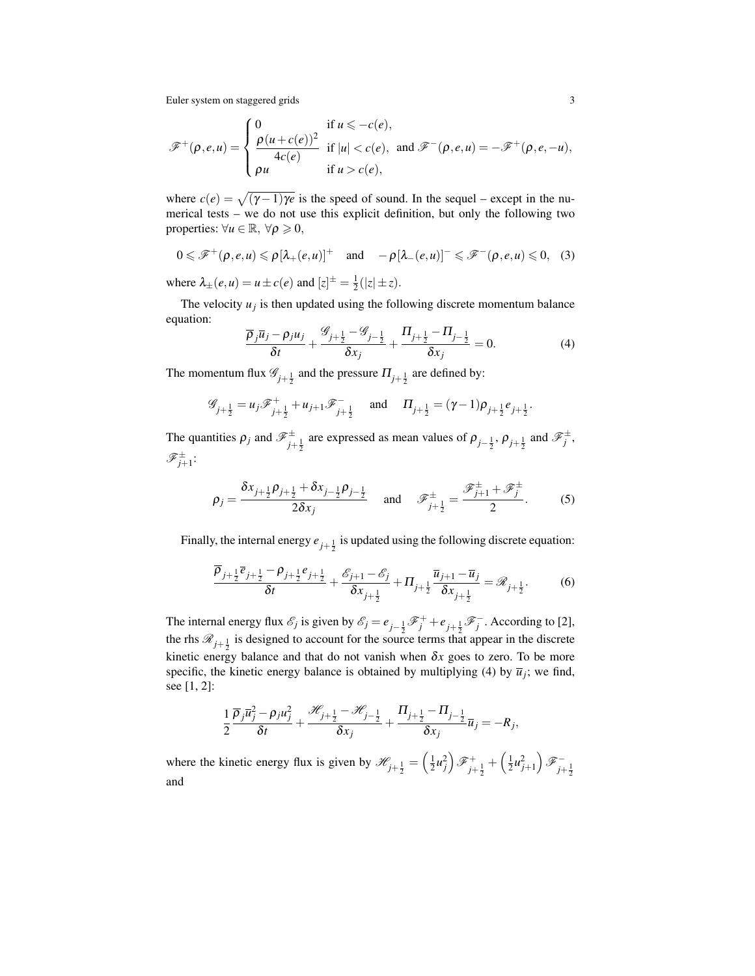$$
\mathscr{F}^+(\rho,e,u) = \begin{cases} 0 & \text{if } u \leq -c(e), \\ \frac{\rho(u+c(e))^2}{4c(e)} & \text{if } |u| < c(e), \\ \rho u & \text{if } u > c(e), \end{cases} \text{ and } \mathscr{F}^-(\rho,e,u) = -\mathscr{F}^+(\rho,e,-u),
$$

where  $c(e) = \sqrt{(\gamma - 1)\gamma e}$  is the speed of sound. In the sequel – except in the numerical tests – we do not use this explicit definition, but only the following two properties:  $\forall u \in \mathbb{R}, \forall \rho \geq 0,$ 

$$
0 \leqslant \mathscr{F}^+(\rho,e,u) \leqslant \rho[\lambda_+(e,u)]^+ \quad \text{and} \quad -\rho[\lambda_-(e,u)]^- \leqslant \mathscr{F}^-(\rho,e,u) \leqslant 0, \quad (3)
$$

where  $\lambda_{\pm}(e, u) = u \pm c(e)$  and  $[z]^{\pm} = \frac{1}{2}(|z| \pm z)$ .

The velocity  $u_j$  is then updated using the following discrete momentum balance equation:

$$
\frac{\overline{\rho}_j \overline{u}_j - \rho_j u_j}{\delta t} + \frac{\mathscr{G}_{j+\frac{1}{2}} - \mathscr{G}_{j-\frac{1}{2}}}{\delta x_j} + \frac{\Pi_{j+\frac{1}{2}} - \Pi_{j-\frac{1}{2}}}{\delta x_j} = 0.
$$
 (4)

The momentum flux  $\mathscr{G}_{j+\frac{1}{2}}$  and the pressure  $\Pi_{j+\frac{1}{2}}$  are defined by:

$$
\mathcal{G}_{j+\frac{1}{2}} = u_j \mathcal{F}_{j+\frac{1}{2}}^+ + u_{j+1} \mathcal{F}_{j+\frac{1}{2}}^- \quad \text{and} \quad \Pi_{j+\frac{1}{2}} = (\gamma - 1)\rho_{j+\frac{1}{2}}e_{j+\frac{1}{2}}
$$

The quantities  $\rho_j$  and  $\mathscr{F}_{j+\frac{1}{2}}^{\pm}$  are expressed as mean values of  $\rho_{j-\frac{1}{2}}, \rho_{j+\frac{1}{2}}$  and  $\mathscr{F}_j^{\pm}$ ,  $\mathscr{F}_{j+1}^\pm$ :

$$
\rho_j = \frac{\delta x_{j+\frac{1}{2}} \rho_{j+\frac{1}{2}} + \delta x_{j-\frac{1}{2}} \rho_{j-\frac{1}{2}}}{2 \delta x_j} \quad \text{and} \quad \mathscr{F}_{j+\frac{1}{2}}^{\pm} = \frac{\mathscr{F}_{j+1}^{\pm} + \mathscr{F}_{j}^{\pm}}{2}.
$$
 (5)

Finally, the internal energy  $e_{j+\frac{1}{2}}$  is updated using the following discrete equation:

$$
\frac{\overline{\rho}_{j+\frac{1}{2}}\overline{e}_{j+\frac{1}{2}}-\rho_{j+\frac{1}{2}}e_{j+\frac{1}{2}}}{\delta t}+\frac{\mathscr{E}_{j+1}-\mathscr{E}_{j}}{\delta x_{j+\frac{1}{2}}}+\Pi_{j+\frac{1}{2}}\frac{\overline{u}_{j+1}-\overline{u}_{j}}{\delta x_{j+\frac{1}{2}}}=\mathscr{R}_{j+\frac{1}{2}}.\tag{6}
$$

The internal energy flux  $\mathcal{E}_j$  is given by  $\mathcal{E}_j = e_{j-\frac{1}{2}} \mathcal{F}_j^+ + e_{j+\frac{1}{2}} \mathcal{F}_j^-$ . According to [2], the rhs  $\mathcal{R}_{j+\frac{1}{2}}$  is designed to account for the source terms that appear in the discrete kinetic energy balance and that do not vanish when  $\delta x$  goes to zero. To be more specific, the kinetic energy balance is obtained by multiplying (4) by  $\overline{u}_j$ ; we find, see [1, 2]:

$$
\frac{1}{2}\frac{\overline{\rho}_j\overline{u}_j^2-\rho_ju_j^2}{\delta t}+\frac{\mathcal{H}_{j+\frac{1}{2}}-\mathcal{H}_{j-\frac{1}{2}}}{\delta x_j}+\frac{\Pi_{j+\frac{1}{2}}-\Pi_{j-\frac{1}{2}}}{\delta x_j}\overline{u}_j=-R_j,
$$

where the kinetic energy flux is given by  $\mathscr{H}_{j+\frac{1}{2}} = \left(\frac{1}{2}u_j^2\right)\mathscr{F}_{j+\frac{1}{2}}^+ + \left(\frac{1}{2}u_{j+1}^2\right)\mathscr{F}_{j+\frac{1}{2}}^$ and

.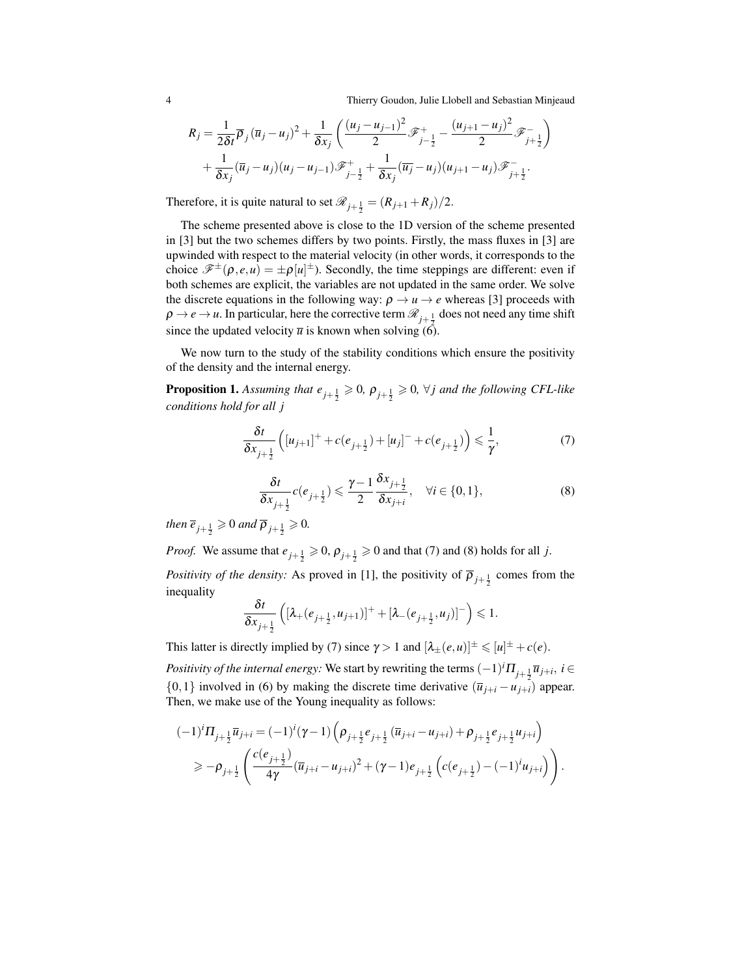4 Thierry Goudon, Julie Llobell and Sebastian Minjeaud

$$
R_{j} = \frac{1}{2\delta t} \overline{\rho}_{j} (\overline{u}_{j} - u_{j})^{2} + \frac{1}{\delta x_{j}} \left( \frac{(u_{j} - u_{j-1})^{2}}{2} \mathcal{F}_{j-\frac{1}{2}}^{+} - \frac{(u_{j+1} - u_{j})^{2}}{2} \mathcal{F}_{j+\frac{1}{2}}^{-} \right) + \frac{1}{\delta x_{j}} (\overline{u}_{j} - u_{j})(u_{j} - u_{j-1}) \mathcal{F}_{j-\frac{1}{2}}^{+} + \frac{1}{\delta x_{j}} (\overline{u}_{j} - u_{j})(u_{j+1} - u_{j}) \mathcal{F}_{j+\frac{1}{2}}^{-}.
$$

Therefore, it is quite natural to set  $\mathcal{R}_{j+\frac{1}{2}} = (R_{j+1} + R_j)/2$ .

The scheme presented above is close to the 1D version of the scheme presented in [3] but the two schemes differs by two points. Firstly, the mass fluxes in [3] are upwinded with respect to the material velocity (in other words, it corresponds to the choice  $\mathscr{F}^{\pm}(\rho, e, u) = \pm \rho[u]^{\pm}$ ). Secondly, the time steppings are different: even if both schemes are explicit, the variables are not updated in the same order. We solve the discrete equations in the following way:  $\rho \rightarrow u \rightarrow e$  whereas [3] proceeds with  $\rho \to e \to u$ . In particular, here the corrective term  $\mathcal{R}_{j+\frac{1}{2}}$  does not need any time shift since the updated velocity  $\overline{u}$  is known when solving (6).

We now turn to the study of the stability conditions which ensure the positivity of the density and the internal energy.

**Proposition 1.** Assuming that  $e_{j+\frac{1}{2}} \geq 0$ ,  $\rho_{j+\frac{1}{2}} \geq 0$ ,  $\forall j$  and the following CFL-like *conditions hold for all j*

$$
\frac{\delta t}{\delta x_{j+\frac{1}{2}}} \left( [u_{j+1}]^+ + c(e_{j+\frac{1}{2}}) + [u_j]^- + c(e_{j+\frac{1}{2}}) \right) \leq \frac{1}{\gamma},\tag{7}
$$

$$
\frac{\delta t}{\delta x_{j+\frac{1}{2}}}c(e_{j+\frac{1}{2}}) \leqslant \frac{\gamma-1}{2}\frac{\delta x_{j+\frac{1}{2}}}{\delta x_{j+i}}, \quad \forall i \in \{0,1\},\tag{8}
$$

*then*  $\overline{e}_{j+\frac{1}{2}} \ge 0$  *and*  $\overline{\rho}_{j+\frac{1}{2}} \ge 0$ .

*Proof.* We assume that  $e_{j+\frac{1}{2}} \ge 0$ ,  $\rho_{j+\frac{1}{2}} \ge 0$  and that (7) and (8) holds for all *j*.

*Positivity of the density:* As proved in [1], the positivity of  $\overline{\rho}_{j+\frac{1}{2}}$  comes from the inequality

$$
\frac{\delta t}{\delta x_{j+\frac{1}{2}}} \left( [\lambda_+(e_{j+\frac{1}{2}},u_{j+1})]^+ + [\lambda_-(e_{j+\frac{1}{2}},u_j)]^- \right) \leqslant 1.
$$

This latter is directly implied by (7) since  $\gamma > 1$  and  $[\lambda_{\pm}(e, u)]^{\pm} \leq u^{\pm} + c(e)$ .

*Positivity of the internal energy:* We start by rewriting the terms  $(-1)^{i} \Pi_{j+\frac{1}{2}} \overline{u}_{j+i}, i \in$  $\{0,1\}$  involved in (6) by making the discrete time derivative  $(\overline{u}_{i+i} - u_{i+i})$  appear. Then, we make use of the Young inequality as follows:

$$
\begin{split} & (-1)^{i} \Pi_{j+\frac{1}{2}} \overline{u}_{j+i} = (-1)^{i} (\gamma - 1) \left( \rho_{j+\frac{1}{2}} e_{j+\frac{1}{2}} (\overline{u}_{j+i} - u_{j+i}) + \rho_{j+\frac{1}{2}} e_{j+\frac{1}{2}} u_{j+i} \right) \\ &\geq -\rho_{j+\frac{1}{2}} \left( \frac{c(e_{j+\frac{1}{2}})}{4\gamma} (\overline{u}_{j+i} - u_{j+i})^{2} + (\gamma - 1) e_{j+\frac{1}{2}} \left( c(e_{j+\frac{1}{2}}) - (-1)^{i} u_{j+i} \right) \right). \end{split}
$$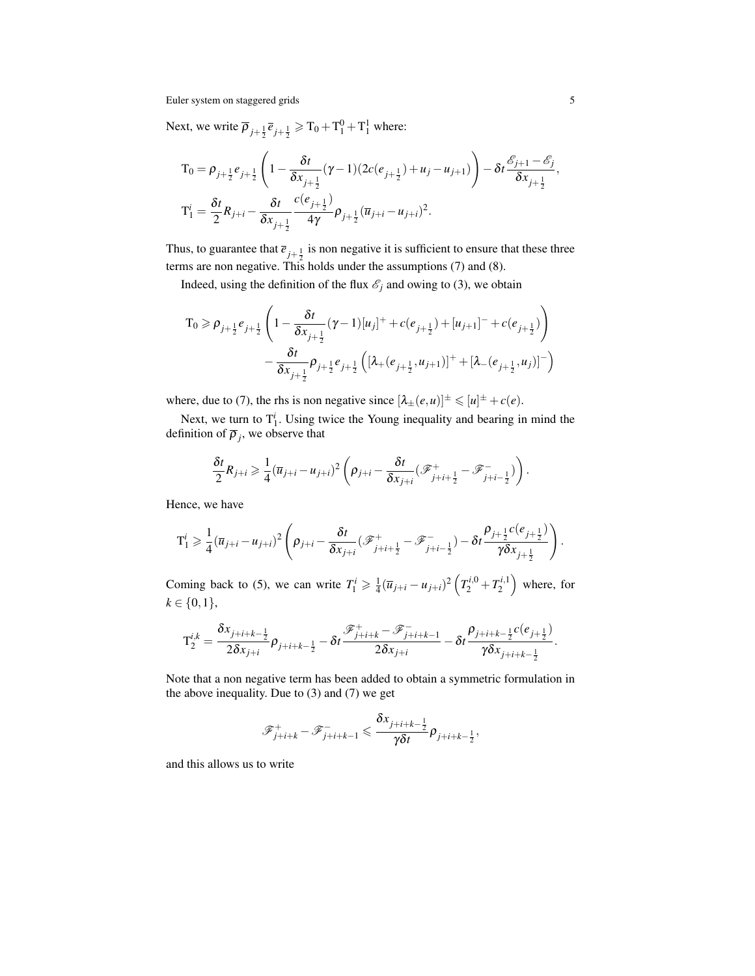Next, we write  $\overline{\rho}_{j+\frac{1}{2}}\overline{e}_{j+\frac{1}{2}} \geqslant T_0 + T_1^0 + T_1^1$  where:

$$
T_0 = \rho_{j+\frac{1}{2}} e_{j+\frac{1}{2}} \left( 1 - \frac{\delta t}{\delta x_{j+\frac{1}{2}}} (\gamma - 1) (2c(e_{j+\frac{1}{2}}) + u_j - u_{j+1}) \right) - \delta t \frac{\mathscr{E}_{j+1} - \mathscr{E}_j}{\delta x_{j+\frac{1}{2}}},
$$
  
\n
$$
T_1^i = \frac{\delta t}{2} R_{j+i} - \frac{\delta t}{\delta x_{j+\frac{1}{2}}} \frac{c(e_{j+\frac{1}{2}})}{4\gamma} \rho_{j+\frac{1}{2}} (\overline{u}_{j+i} - u_{j+i})^2.
$$

Thus, to guarantee that  $\overline{e}_{j+\frac{1}{2}}$  is non negative it is sufficient to ensure that these three terms are non negative. This holds under the assumptions (7) and (8).

Indeed, using the definition of the flux  $\mathcal{E}_j$  and owing to (3), we obtain

$$
T_0 \ge \rho_{j+\frac{1}{2}} e_{j+\frac{1}{2}} \left( 1 - \frac{\delta t}{\delta x_{j+\frac{1}{2}}} (\gamma - 1) [u_j]^+ + c(e_{j+\frac{1}{2}}) + [u_{j+1}]^- + c(e_{j+\frac{1}{2}}) \right)
$$
  

$$
- \frac{\delta t}{\delta x_{j+\frac{1}{2}}} \rho_{j+\frac{1}{2}} e_{j+\frac{1}{2}} \left( [\lambda_+(e_{j+\frac{1}{2}}, u_{j+1})]^+ + [\lambda_-(e_{j+\frac{1}{2}}, u_j)]^- \right)
$$

where, due to (7), the rhs is non negative since  $[\lambda_{\pm}(e, u)]^{\pm} \leq |u|^{\pm} + c(e)$ .

Next, we turn to  $T_1^i$ . Using twice the Young inequality and bearing in mind the definition of  $\overline{\rho}_j$ , we observe that

$$
\frac{\delta t}{2}R_{j+i}\geq \frac{1}{4}(\overline{u}_{j+i}-u_{j+i})^2\left(\rho_{j+i}-\frac{\delta t}{\delta x_{j+i}}(\mathcal{F}_{j+i+\frac{1}{2}}^+-\mathcal{F}_{j+i-\frac{1}{2}}^-\right).
$$

Hence, we have

$$
\mathbf{T}_1^i \geq \frac{1}{4} (\overline{u}_{j+i} - u_{j+i})^2 \left( \rho_{j+i} - \frac{\delta t}{\delta x_{j+i}} (\mathcal{F}_{j+i+\frac{1}{2}}^+ - \mathcal{F}_{j+i-\frac{1}{2}}^-) - \delta t \frac{\rho_{j+\frac{1}{2}}c(e_{j+\frac{1}{2}})}{\gamma \delta x_{j+\frac{1}{2}}} \right).
$$

Coming back to (5), we can write  $T_1^i \geq \frac{1}{4} (\overline{u}_{j+i} - u_{j+i})^2 (T_2^{i,0} + T_2^{i,1})$  where, for  $k \in \{0, 1\},\$ 

$$
\mathbf{T}_2^{i,k} = \frac{\delta x_{j+i+k-\frac{1}{2}}}{2\delta x_{j+i}} \rho_{j+i+k-\frac{1}{2}} - \delta t \frac{\mathcal{F}_{j+i+k}^+ - \mathcal{F}_{j+i+k-1}^-}{2\delta x_{j+i}} - \delta t \frac{\rho_{j+i+k-\frac{1}{2}}c(e_{j+\frac{1}{2}})}{\gamma \delta x_{j+i+k-\frac{1}{2}}}.
$$

Note that a non negative term has been added to obtain a symmetric formulation in the above inequality. Due to  $(3)$  and  $(7)$  we get

$$
\mathscr{F}_{j+i+k}^+ - \mathscr{F}_{j+i+k-1}^- \leq \frac{\delta x_{j+i+k-\frac{1}{2}}}{\gamma \delta t} \rho_{j+i+k-\frac{1}{2}},
$$

and this allows us to write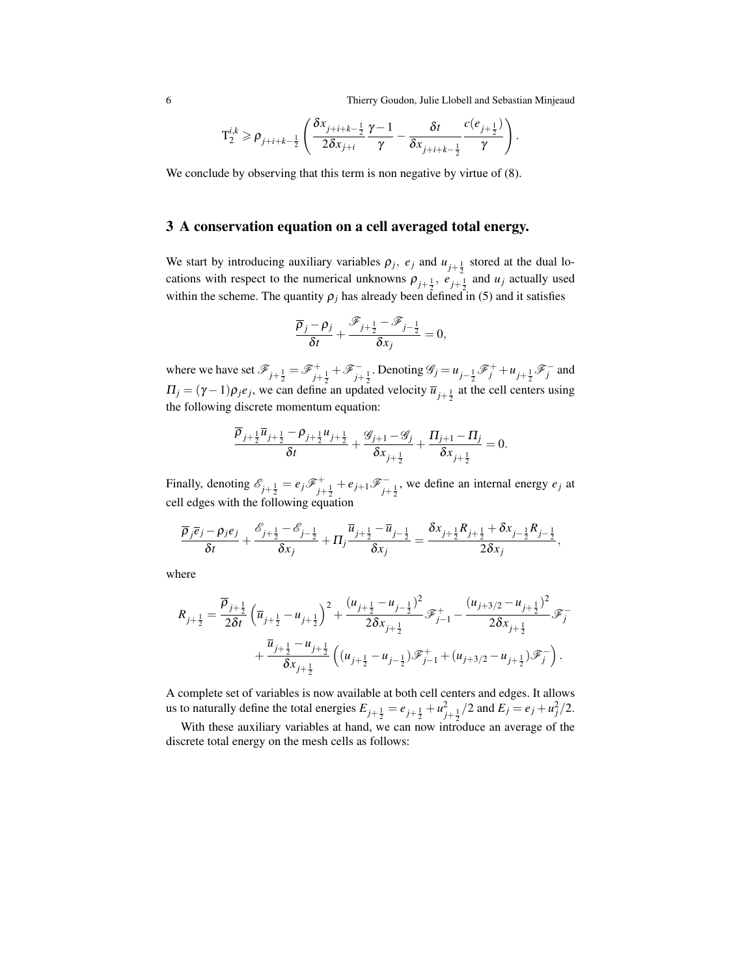6 Thierry Goudon, Julie Llobell and Sebastian Minjeaud

.

$$
\mathbf{T}_2^{i,k} \geqslant \rho_{j+i+k-\frac{1}{2}}\left(\frac{\delta x_{j+i+k-\frac{1}{2}}}{2\delta x_{j+i}}\frac{\gamma-1}{\gamma}-\frac{\delta t}{\delta x_{j+i+k-\frac{1}{2}}}\frac{c(e_{j+\frac{1}{2}})}{\gamma}\right)
$$

We conclude by observing that this term is non negative by virtue of  $(8)$ .

### 3 A conservation equation on a cell averaged total energy.

We start by introducing auxiliary variables  $\rho_j$ ,  $e_j$  and  $u_{j+\frac{1}{2}}$  stored at the dual locations with respect to the numerical unknowns  $\rho_{j+\frac{1}{2}}$ ,  $e_{j+\frac{1}{2}}$  and  $u_j$  actually used within the scheme. The quantity  $\rho_j$  has already been defined in (5) and it satisfies

$$
\frac{\overline{\rho}_j - \rho_j}{\delta t} + \frac{\mathscr{F}_{j+\frac{1}{2}} - \mathscr{F}_{j-\frac{1}{2}}}{\delta x_j} = 0,
$$

where we have set  $\mathscr{F}_{j+\frac{1}{2}} = \mathscr{F}_{j+\frac{1}{2}}^+ + \mathscr{F}_{j+\frac{1}{2}}^-$ . Denoting  $\mathscr{G}_j = u_{j-\frac{1}{2}} \mathscr{F}_j^+ + u_{j+\frac{1}{2}} \mathscr{F}_j^-$  and  $\Pi_j = (\gamma - 1)\rho_j e_j$ , we can define an updated velocity  $\overline{u}_{j+\frac{1}{2}}$  at the cell centers using the following discrete momentum equation:

$$
\frac{\overline{\rho}_{j+\frac{1}{2}}\overline{u}_{j+\frac{1}{2}}-\rho_{j+\frac{1}{2}}u_{j+\frac{1}{2}}}{\delta t}+\frac{\mathscr{G}_{j+1}-\mathscr{G}_{j}}{\delta x_{j+\frac{1}{2}}}+\frac{\Pi_{j+1}-\Pi_{j}}{\delta x_{j+\frac{1}{2}}}=0.
$$

Finally, denoting  $\mathscr{E}_{j+\frac{1}{2}} = e_j \mathscr{F}_{j+\frac{1}{2}}^+ + e_{j+1} \mathscr{F}_{j+\frac{1}{2}}^-$ , we define an internal energy  $e_j$  at cell edges with the following equation

$$
\frac{\overline{\rho}_j \overline{e}_j - \rho_j e_j}{\delta t} + \frac{\mathscr{E}_{j+\frac{1}{2}} - \mathscr{E}_{j-\frac{1}{2}}}{\delta x_j} + \Pi_j \frac{\overline{u}_{j+\frac{1}{2}} - \overline{u}_{j-\frac{1}{2}}}{\delta x_j} = \frac{\delta x_{j+\frac{1}{2}} R_{j+\frac{1}{2}} + \delta x_{j-\frac{1}{2}} R_{j-\frac{1}{2}}}{2 \delta x_j},
$$

where

$$
R_{j+\frac{1}{2}} = \frac{\overline{\rho}_{j+\frac{1}{2}}}{2\delta t} \left( \overline{u}_{j+\frac{1}{2}} - u_{j+\frac{1}{2}} \right)^2 + \frac{(u_{j+\frac{1}{2}} - u_{j-\frac{1}{2}})^2}{2\delta x_{j+\frac{1}{2}}} \mathcal{F}_{j-1}^+ - \frac{(u_{j+3/2} - u_{j+\frac{1}{2}})^2}{2\delta x_{j+\frac{1}{2}}} \mathcal{F}_j^- + \frac{\overline{u}_{j+\frac{1}{2}} - u_{j+\frac{1}{2}}}{\delta x_{j+\frac{1}{2}}} \left( (u_{j+\frac{1}{2}} - u_{j-\frac{1}{2}}) \mathcal{F}_{j-1}^+ + (u_{j+3/2} - u_{j+\frac{1}{2}}) \mathcal{F}_j^- \right).
$$

A complete set of variables is now available at both cell centers and edges. It allows us to naturally define the total energies  $E_{j+\frac{1}{2}} = e_{j+\frac{1}{2}} + u_j^2$  $\frac{2}{j+\frac{1}{2}}/2$  and  $E_j = e_j + u_j^2/2$ .

With these auxiliary variables at hand, we can now introduce an average of the discrete total energy on the mesh cells as follows: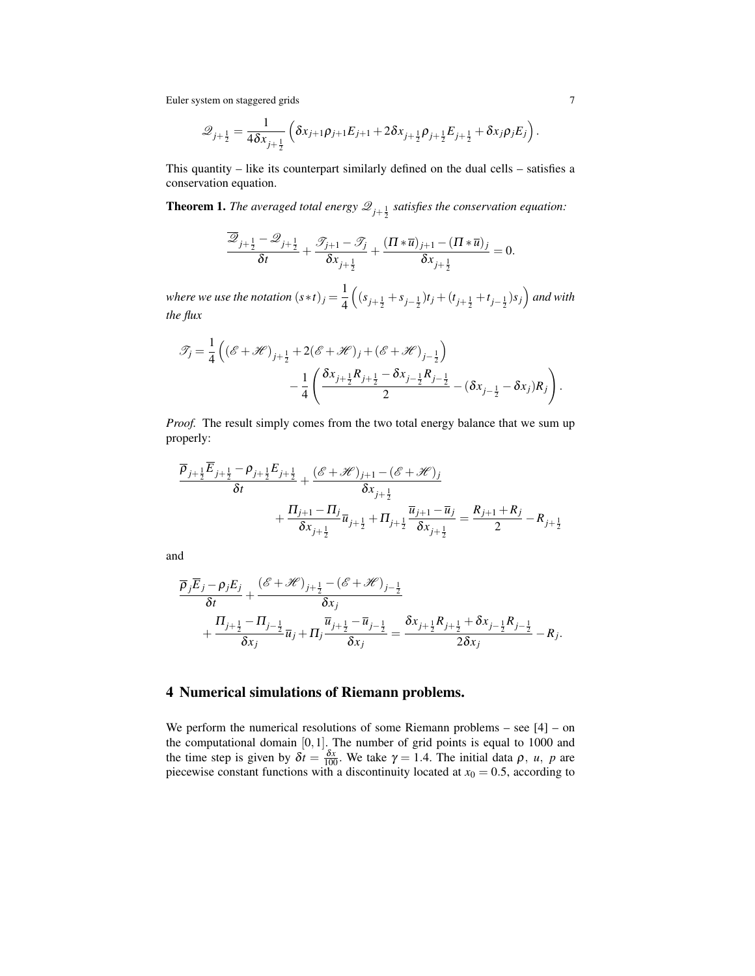$$
\mathscr{Q}_{j+\frac{1}{2}} = \frac{1}{4\delta x_{j+\frac{1}{2}}} \left( \delta x_{j+1} \rho_{j+1} E_{j+1} + 2 \delta x_{j+\frac{1}{2}} \rho_{j+\frac{1}{2}} E_{j+\frac{1}{2}} + \delta x_j \rho_j E_j \right).
$$

This quantity – like its counterpart similarly defined on the dual cells – satisfies a conservation equation.

**Theorem 1.** The averaged total energy  $\mathscr{Q}_{j+\frac{1}{2}}$  satisfies the conservation equation:

$$
\frac{\overline{\mathscr{Q}}_{j+\frac{1}{2}}-\mathscr{Q}_{j+\frac{1}{2}}}{\delta t}+\frac{\mathscr{T}_{j+1}-\mathscr{T}_{j}}{\delta x_{j+\frac{1}{2}}}+\frac{(\Pi\ast\overline{u})_{j+1}-(\Pi\ast\overline{u})_{j}}{\delta x_{j+\frac{1}{2}}}=0.
$$

*where we use the notation*  $(s*t)_j = \frac{1}{4}$ 4  $((s_{j+\frac{1}{2}}+s_{j-\frac{1}{2}})t_j+(t_{j+\frac{1}{2}}+t_{j-\frac{1}{2}})s_j)$  and with *the flux*

$$
\mathcal{J}_j = \frac{1}{4} \left( (\mathcal{E} + \mathcal{H})_{j+\frac{1}{2}} + 2(\mathcal{E} + \mathcal{H})_j + (\mathcal{E} + \mathcal{H})_{j-\frac{1}{2}} \right) \n- \frac{1}{4} \left( \frac{\delta x_{j+\frac{1}{2}} R_{j+\frac{1}{2}} - \delta x_{j-\frac{1}{2}} R_{j-\frac{1}{2}}}{2} - (\delta x_{j-\frac{1}{2}} - \delta x_j) R_j \right).
$$

*Proof.* The result simply comes from the two total energy balance that we sum up properly:

$$
\frac{\overline{\rho}_{j+\frac{1}{2}}\overline{E}_{j+\frac{1}{2}} - \rho_{j+\frac{1}{2}}E_{j+\frac{1}{2}}}{\delta t} + \frac{(\mathscr{E} + \mathscr{H})_{j+1} - (\mathscr{E} + \mathscr{H})_j}{\delta x_{j+\frac{1}{2}}} \n+ \frac{\Pi_{j+1} - \Pi_j}{\delta x_{j+\frac{1}{2}}} \overline{u}_{j+\frac{1}{2}} + \Pi_{j+\frac{1}{2}} \frac{\overline{u}_{j+1} - \overline{u}_j}{\delta x_{j+\frac{1}{2}}} = \frac{R_{j+1} + R_j}{2} - R_{j+\frac{1}{2}}
$$

and

$$
\frac{\overline{\rho}_{j}\overline{E}_{j} - \rho_{j}E_{j}}{\delta t} + \frac{(\mathscr{E} + \mathscr{H})_{j+\frac{1}{2}} - (\mathscr{E} + \mathscr{H})_{j-\frac{1}{2}}}{\delta x_{j}} + \frac{\Pi_{j+\frac{1}{2}} - \Pi_{j-\frac{1}{2}}}{\delta x_{j}} \overline{u}_{j} + \Pi_{j} \frac{\overline{u}_{j+\frac{1}{2}} - \overline{u}_{j-\frac{1}{2}}}{\delta x_{j}} = \frac{\delta x_{j+\frac{1}{2}}R_{j+\frac{1}{2}} + \delta x_{j-\frac{1}{2}}R_{j-\frac{1}{2}}}{2\delta x_{j}} - R_{j}.
$$

#### 4 Numerical simulations of Riemann problems.

We perform the numerical resolutions of some Riemann problems – see  $[4]$  – on the computational domain [0,1]. The number of grid points is equal to 1000 and the time step is given by  $\delta t = \frac{\delta x}{100}$ . We take  $\gamma = 1.4$ . The initial data  $\rho$ , *u*, *p* are piecewise constant functions with a discontinuity located at  $x_0 = 0.5$ , according to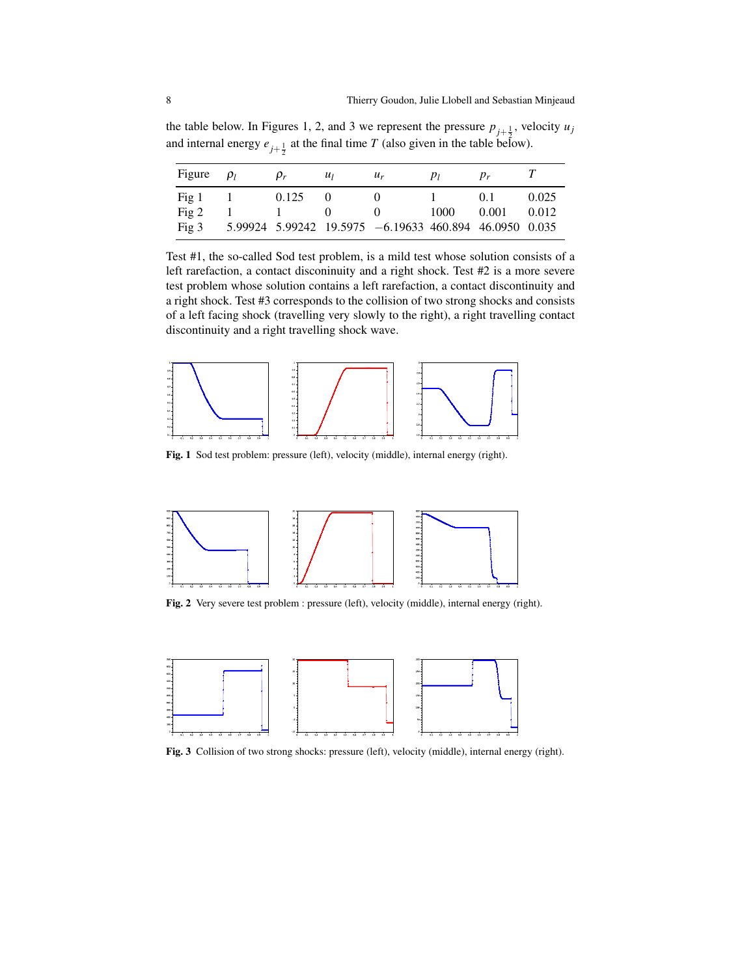the table below. In Figures 1, 2, and 3 we represent the pressure  $p_{j+\frac{1}{2}}$ , velocity  $u_j$ and internal energy  $e_{j+\frac{1}{2}}$  at the final time *T* (also given in the table below).

| Figure  | $\rho_l$ | $\rho_r$     | $u_1$        | $u_r$                                                  | $p_l$ | $p_r$          |       |
|---------|----------|--------------|--------------|--------------------------------------------------------|-------|----------------|-------|
| Fig 1   |          | 0.125        | $\theta$     |                                                        |       | 0 <sub>1</sub> | 0.025 |
| Fig 2   |          | $\mathbf{I}$ | $\mathbf{U}$ |                                                        | 1000  | 0.001          | 0.012 |
| Fig $3$ |          |              |              | 5.99924 5.99242 19.5975 -6.19633 460.894 46.0950 0.035 |       |                |       |

Test #1, the so-called Sod test problem, is a mild test whose solution consists of a left rarefaction, a contact disconinuity and a right shock. Test #2 is a more severe test problem whose solution contains a left rarefaction, a contact discontinuity and a right shock. Test #3 corresponds to the collision of two strong shocks and consists of a left facing shock (travelling very slowly to the right), a right travelling contact discontinuity and a right travelling shock wave.



Fig. 1 Sod test problem: pressure (left), velocity (middle), internal energy (right).



Fig. 2 Very severe test problem : pressure (left), velocity (middle), internal energy (right).



Fig. 3 Collision of two strong shocks: pressure (left), velocity (middle), internal energy (right).